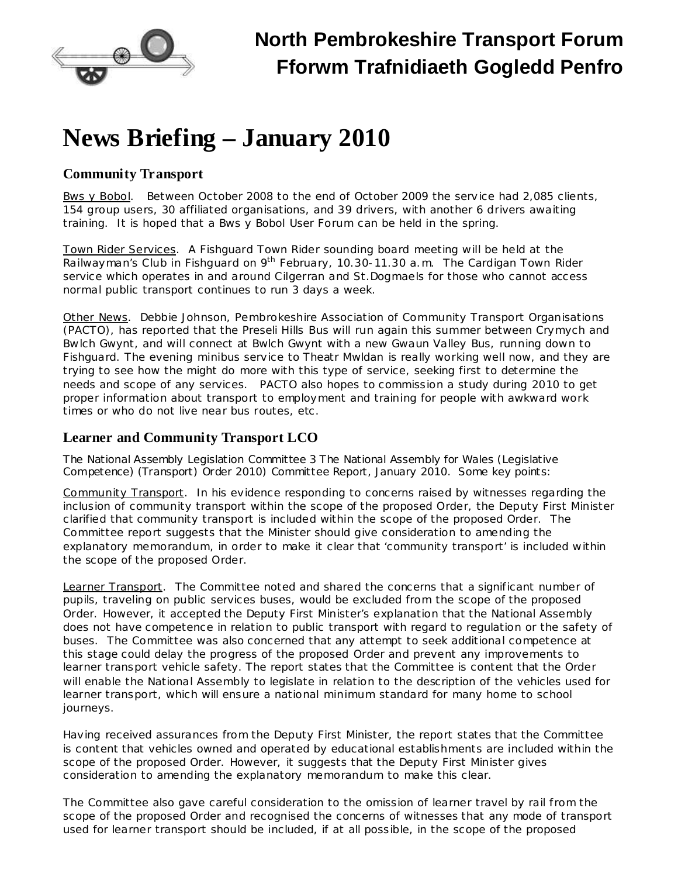

# **News Briefing – January 2010**

### **Community Transport**

Bws y Bobol. Between October 2008 to the end of October 2009 the service had 2,085 clients, 154 group users, 30 affiliated organisations, and 39 drivers, with another 6 drivers awaiting training. It is hoped that a Bws y Bobol User Forum can be held in the spring.

Town Rider Services. A Fishguard Town Rider sounding board meeting will be held at the Railwayman's Club in Fishguard on 9<sup>th</sup> February, 10.30-11.30 a.m. The Cardigan Town Rider service which operates in and around Cilgerran and St.Dogmaels for those who cannot access normal public transport continues to run 3 days a week.

Other News. Debbie Johnson, Pembrokeshire Association of Community Transport Organisations (PACTO), has reported that the Preseli Hills Bus will run again this summer between Crymych and Bwlch Gwynt, and will connect at Bwlch Gwynt with a new Gwaun Valley Bus, running down to Fishguard. The evening minibus service to Theatr Mwldan is really working well now, and they are trying to see how the might do more with this type of service, seeking first to determine the needs and scope of any services. PACTO also hopes to commission a study during 2010 to get proper information about transport to employment and training for people with awkward work times or who do not live near bus routes, etc.

# **Learner and Community Transport LCO**

The National Assembly Legislation Committee 3 *The National Assembly for Wales (Legislative Competence) (Transport) Order 2010)* Committee Report, January 2010. Some key points:

Community Transport. In his evidence responding to concerns raised by witnesses regarding the inclusion of community transport within the scope of the proposed Order, the Deputy First Minister clarified that community transport is included within the scope of the proposed Order. The Committee report suggests that the Minister should give consideration to amending the explanatory memorandum, in order to make it clear that 'community transport' is included within the scope of the proposed Order.

Learner Transport. The Committee noted and shared the concerns that a significant number of pupils, traveling on public services buses, would be excluded from the scope of the proposed Order. However, it accepted the Deputy First Minister's explanation that the National Assembly does not have competence in relation to public transport with regard to regulation or the safety of buses. The Committee was also concerned that any attempt to seek additional competence at this stage could delay the progress of the proposed Order and prevent any improvements to learner transport vehicle safety. The report states that the Committee is content that the Order will enable the National Assembly to legislate in relation to the description of the vehicles used for learner transport, which will ensure a national minimum standard for many home to school journeys.

Having received assurances from the Deputy First Minister, the report states that the Committee is content that vehicles owned and operated by educational establishments are included within the scope of the proposed Order. However, it suggests that the Deputy First Minister gives consideration to amending the explanatory memorandum to make this clear.

The Committee also gave careful consideration to the omission of learner travel by rail from the scope of the proposed Order and recognised the concerns of witnesses that any mode of transport used for learner transport should be included, if at all possible, in the scope of the proposed